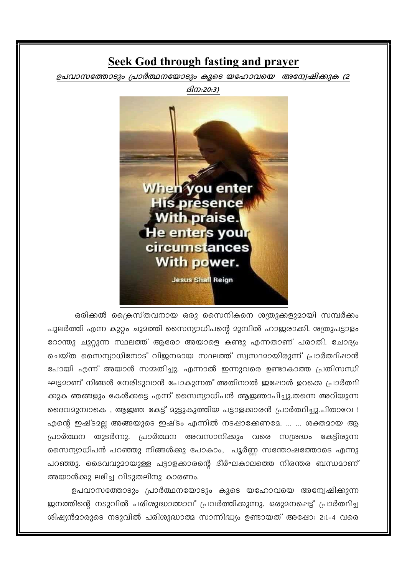### **Seek God through fasting and prayer**

ഉപവാസത്തോടും പ്രാർത്ഥനയോടും കൂടെ യഹോവയെ അന്വേഷിക്കുക (2



ഒരിക്കൽ ക്രൈസ്തവനായ ഒരു സൈനികനെ ശത്രുക്കളുമായി സമ്പർക്കം പുലർത്തി എന്ന കുറ്റം ചുമത്തി സൈന്യാധിപന്റെ മുമ്പിൽ ഹാജരാക്കി. ശത്രുപട്ടാളം റോന്തു ചുറ്റുന്ന സ്ഥലത്ത് ആരോ അയാളെ കണ്ടു എന്നതാണ് പരാതി. ചോദ്യം ചെയ്ത സൈന്യാധിനോട് വിജനമായ സ്ഥലത്ത് സ്വസ്ഥമായിരുന്ന് പ്രാർത്ഥിഷാൻ പോയി എന്ന് അയാൾ സമ്മതിച്ചു. എന്നാൽ ഇന്നുവരെ ഉണ്ടാകാത്ത പ്രതിസന്ധി ഘട്ടമാണ് നിങ്ങൾ നേരിടുവാൻ പോകുന്നത് അതിനാൽ ഇഷോൾ ഉറക്കെ പ്രാർത്ഥി ക്കുക ഞങ്ങളും കേൾക്കട്ടെ എന്ന് സൈന്യാധിപൻ ആഇഞാപിച്ചു.തന്നെ അറിയുന്ന ദൈവമുമ്പാകെ , ആഇഞ കേട്ട് മുട്ടുകുത്തിയ പട്ടാളക്കാരൻ പ്രാർത്ഥിച്ചു.പിതാവേ ! എന്റെ ഇഷ്ടമല്ല അങ്ങയുടെ ഇഷ്ടം എന്നിൽ നടപ്പാക്കേണമേ. ... ... ശക്തമായ ആ പ്രാർത്ഥന തുടർന്നു. പ്രാർത്ഥന അവസാനിക്കും വരെ സശ്രദ്ധം കേട്ടിരുന്ന സൈന്യാധിപൻ പറഞ്ഞു നിങ്ങൾക്കു പോകാം, പൂർണ്ണ സന്തോഷത്തോടെ എന്നു പറഞ്ഞു. ദൈവവുമായുള്ള പട്ടാളക്കാരന്റെ ദീർഘകാലത്തെ നിരന്തര ബന്ധമാണ് അയാൾക്കു ലഭിച്ച വിടുതലിനു കാരണം.

ഉപവാസത്തോടും പ്രാർത്ഥനയോടും കൂടെ യഹോവയെ അന്വേഷിക്കുന്ന ജനത്തിന്റെ നടുവിൽ പരിശുദ്ധാത്മാവ് പ്രവർത്തിക്കുന്നു. ഒരുമനപ്പെട്ട് പ്രാർത്ഥിച്ച ശിഷ്യൻമാരുടെ നടുവിൽ പരിശുദ്ധാത്മ സാന്നിദ്ധ്യം ഉണ്ടായത് അഷോ: 2:1-4 വരെ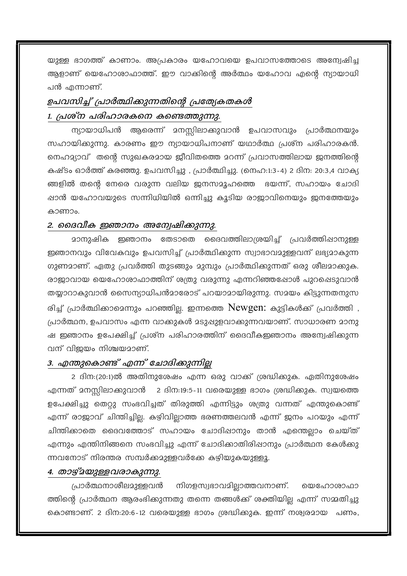യുള്ള ഭാഗത്ത് കാണാം. അപ്രകാരം യഹോവയെ ഉപവാസത്തോടെ അന്വേഷിച്ച ആളാണ് യെഹോശാഫാത്ത്. ഈ വാക്കിന്റെ അർത്ഥം യഹോവ എന്റെ ന്യായാധി പൻ എന്നാണ്.

## ഉപവസിച്ച് പ്രാർത്ഥിക്കുന്നതിന്റെ പ്രത്യേകതകൾ 1. പ്രശ്ന പരിഹാരകനെ കണ്ടെത്തുന്നു.

ന്യായാധിപൻ ആരെന്ന് മനസ്സിലാക്കുവാൻ ഉപവാസവും പ്രാർത്ഥനയും സഹായിക്കുന്നു. കാരണം ഈ ന്യായാധിപനാണ് യഥാർത്ഥ പ്രശ്ന പരിഹാരകൻ. നെഹമ്യാവ് തന്റെ സുഖകരമായ ജീവിതത്തെ മറന്ന് പ്രവാസത്തിലായ ജനത്തിന്റെ കഷ്ടം ഓർത്ത് കരഞ്ഞു. ഉപവസിച്ചു , പ്രാർത്ഥിച്ചു. (നെഹ:1:3-4) 2 ദിന: 20:3,4 വാക്യ ങ്ങളിൽ തന്റെ നേരെ വരുന്ന വലിയ ജനസമൂഹത്തെ ഭയന്ന്, സഹായം ചോദി ഷാൻ യഹോവയുടെ സന്നിധിയിൽ ഒന്നിച്ചു കൂടിയ രാജാവിനെയും ജനത്തേയും കാണാം.

#### 2. വൈവീക ഇഞാനം അന്വേഷിക്കുന്നു.

മാനുഷിക ഇഞാനം തേടാതെ ദൈവത്തിലാശ്രയിച്ച് പ്രവർത്തിഷാനുള്ള ഇഞാനവും വിവേകവും ഉപവസിച്ച് പ്രാർത്ഥിക്കുന്ന സ്വാഭാവമുള്ളവന് ലഭ്യമാകുന്ന ഗുണമാണ്. ഏതു പ്രവർത്തി തുടങ്ങും മുമ്പും പ്രാർത്ഥിക്കുന്നത് ഒരു ശീലമാക്കുക. രാജാവായ യെഹോശാഫാത്തിന് ശത്രു വരുന്നു എന്നറിഞ്ഞപ്പോൾ പുറപ്പെടുവാൻ തയ്യാറാകുവാൻ സൈന്യാധിപൻമാരോട് പറയാമായിരുന്നു. സമയം കിട്ടുന്നതനുസ രിച്ച് പ്രാർത്ഥിക്കാമെന്നും പറഞ്ഞില്ല. ഇന്നത്തെ Newgen: കുട്ടികൾക്ക് പ്രവർത്തി , പ്രാർത്ഥന, ഉപവാസം എന്ന വാക്കുകൾ മടുഷുളവാക്കുന്നവയാണ്. സാധാരണ മാനു ഷ ഇഞാനം ഉപേക്ഷിച്ച് പ്രശ്ന പരിഹാരത്തിന് ദൈവീകഇഞാനം അന്വേഷിക്കുന്ന വന് വിജയം നിശ്ചയമാണ്.

#### 3. എന്തുകൊണ്ട് എന്ന് ചോദിക്കുന്നില്

2 ദിന:(20:1)ൽ അതിനുശേഷം എന്ന ഒരു വാക്ക് ശ്രദ്ധിക്കുക. ഏതിനുശേഷം എന്നത് മനസ്സിലാക്കുവാൻ 2 ദിന:19:5-11 വരെയുള്ള ഭാഗം ശ്രദ്ധിക്കുക. സ്വയത്തെ ഉപേക്ഷിച്ചു തെറ്റു സംഭവിച്ചത് തിരുത്തി എന്നിട്ടും ശത്രു വന്നത് എന്തുകൊണ്ട് എന്ന് രാജാവ് ചിന്തിച്ചില്ല. കഴിവില്ലാത്ത ഭരണത്തലവൻ എന്ന് ജനം പറയും എന്ന് ചിന്തിക്കാതെ ദൈവത്തോട് സഹായം ചോദിഷാനും താൻ എന്തെല്ലാം ചെയ്ത് എന്നും എന്തിനിങ്ങനെ സംഭവിച്ചു എന്ന് ചോദിക്കാതിരിഷാനും പ്രാർത്ഥന കേൾക്കു ന്നവനോട് നിരന്തര സമ്പർക്കമുള്ളവർക്കേ കഴിയുകയുള്ളൂ.

#### 4. താഴ്മയുള്ളവരാകുന്നു.

നിഗളസ്വഭാവമില്ലാത്തവനാണ്. പ്രാർത്ഥനാശീലമുള്ളവൻ യെഹോശാഫാ ത്തിന്റെ പ്രാർത്ഥന ആരംഭിക്കുന്നതു തന്നെ തങ്ങൾക്ക് ശക്തിയില്ല എന്ന് സമ്മതിച്ചു കൊണ്ടാണ്. 2 ദിന:20:6-12 വരെയുള്ള ഭാഗം ശ്രദ്ധിക്കുക. ഇന്ന് നശ്വരമായ പണം,